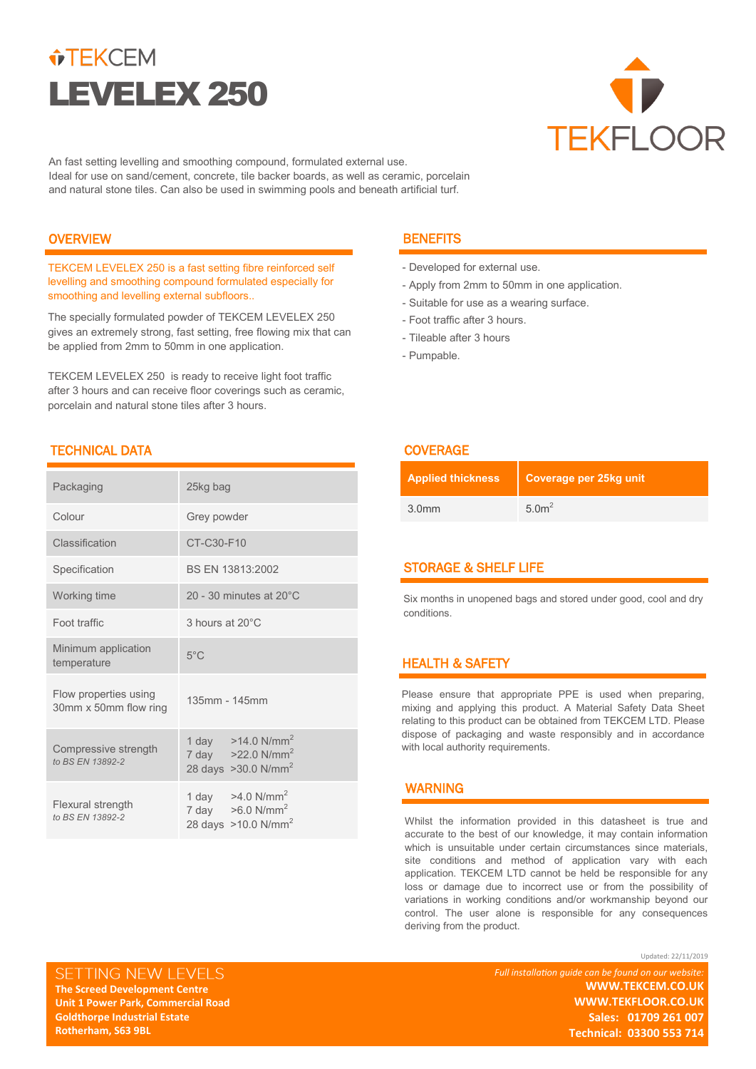# $\hat{v}$ TEKCEM LEVELEX 250



An fast setting levelling and smoothing compound, formulated external use. Ideal for use on sand/cement, concrete, tile backer boards, as well as ceramic, porcelain and natural stone tiles. Can also be used in swimming pools and beneath artificial turf.

# **OVERVIEW**

TEKCEM LEVELEX 250 is a fast setting fibre reinforced self levelling and smoothing compound formulated especially for smoothing and levelling external subfloors..

The specially formulated powder of TEKCEM LEVELEX 250 gives an extremely strong, fast setting, free flowing mix that can be applied from 2mm to 50mm in one application.

TEKCEM LEVELEX 250 is ready to receive light foot traffic after 3 hours and can receive floor coverings such as ceramic, porcelain and natural stone tiles after 3 hours.

# TECHNICAL DATA COVERAGE

| Packaging                                      | 25kg bag                                                                                          |
|------------------------------------------------|---------------------------------------------------------------------------------------------------|
| Colour                                         | Grey powder                                                                                       |
| Classification                                 | CT-C30-F10                                                                                        |
| Specification                                  | BS EN 13813:2002                                                                                  |
| Working time                                   | 20 - 30 minutes at $20^{\circ}$ C                                                                 |
| Foot traffic                                   | 3 hours at 20°C                                                                                   |
| Minimum application<br>temperature             | $5^{\circ}$ C                                                                                     |
| Flow properties using<br>30mm x 50mm flow ring | 135mm - 145mm                                                                                     |
| Compressive strength<br>to BS EN 13892-2       | 1 day $>14.0 \text{ N/mm}^2$<br>7 day $>22.0 \text{ N/mm}^2$<br>28 days $>30.0$ N/mm <sup>2</sup> |
| Flexural strength<br>to BS EN 13892-2          | 1 day $>4.0 \text{ N/mm}^2$<br>7 day $>6.0 \text{ N/mm}^2$<br>28 days >10.0 N/mm <sup>2</sup>     |

# **BENEFITS**

- Developed for external use.
- Apply from 2mm to 50mm in one application.
- Suitable for use as a wearing surface.
- Foot traffic after 3 hours.
- Tileable after 3 hours
- Pumpable.

| <b>Applied thickness</b> | Coverage per 25kg unit |
|--------------------------|------------------------|
| 3.0 <sub>mm</sub>        | 5.0 <sup>2</sup>       |

# STORAGE & SHELF LIFE

Six months in unopened bags and stored under good, cool and dry conditions.

# HEALTH & SAFETY

Please ensure that appropriate PPE is used when preparing, mixing and applying this product. A Material Safety Data Sheet relating to this product can be obtained from TEKCEM LTD. Please dispose of packaging and waste responsibly and in accordance with local authority requirements.

# WARNING

Whilst the information provided in this datasheet is true and accurate to the best of our knowledge, it may contain information which is unsuitable under certain circumstances since materials, site conditions and method of application vary with each application. TEKCEM LTD cannot be held be responsible for any loss or damage due to incorrect use or from the possibility of variations in working conditions and/or workmanship beyond our control. The user alone is responsible for any consequences deriving from the product.

SETTING NEW LEVELS **The Screed Development Centre The Screed Development Centre Unit 1 Power Park, Commercial Road Unit 1 Power Park, Commercial Road Goldthorpe Industrial Estate Goldthorpe Industrial Estate Rotherham, S63 9BL** 

**Rotherham, S63 9BL** 

Updated: 22/11/2019 *Full installation guide can be found on our website:* **WWW.TEKCEM.CO.UK WWW.TEKCEM.CO.UK WWW.TEKFLOOR.CO.UK WWW.TEKFLOOR.CO.UK Sales: 01709 261 007 Technical: 03300 553 714 Technical: 03300 553 714 Sales: 01709 261 007**